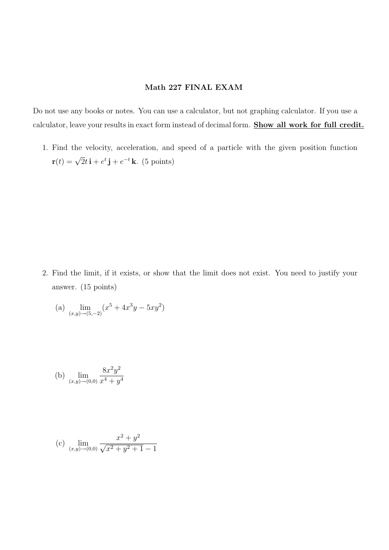## Math 227 FINAL EXAM

Do not use any books or notes. You can use a calculator, but not graphing calculator. If you use a calculator, leave your results in exact form instead of decimal form. Show all work for full credit.

1. Find the velocity, acceleration, and speed of a particle with the given position function  $\mathbf{r}(t) = \sqrt{2}t\,\mathbf{i} + e^t\,\mathbf{j} + e^{-t}\,\mathbf{k}$ . (5 points)

2. Find the limit, if it exists, or show that the limit does not exist. You need to justify your answer. (15 points)

(a) 
$$
\lim_{(x,y)\to(5,-2)} (x^5 + 4x^3y - 5xy^2)
$$

(b) 
$$
\lim_{(x,y)\to(0,0)}\frac{8x^2y^2}{x^4+y^4}
$$

(c) 
$$
\lim_{(x,y)\to(0,0)}\frac{x^2+y^2}{\sqrt{x^2+y^2+1}-1}
$$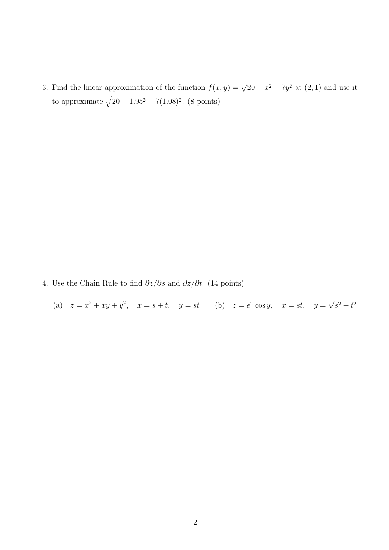3. Find the linear approximation of the function  $f(x, y) = \sqrt{20 - x^2 - 7y^2}$  at  $(2, 1)$  and use it to approximate  $\sqrt{20 - 1.95^2 - 7(1.08)^2}$ . (8 points)

- 4. Use the Chain Rule to find  $\partial z/\partial s$  and  $\partial z/\partial t$ . (14 points)
	- (a)  $z = x^2 + xy + y^2$ ,  $x = s + t$ ,  $y = st$  (b)  $z = e^x \cos y$ ,  $x = st$ ,  $y =$ √  $s^2 + t^2$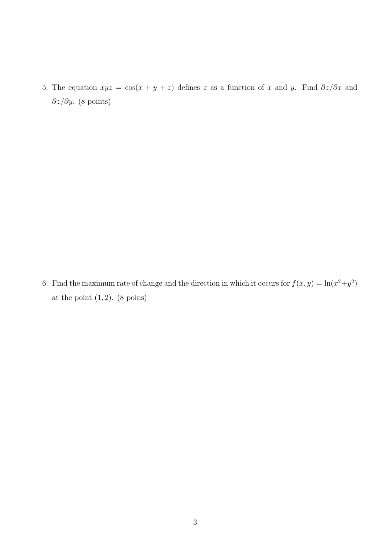5. The equation  $xyz = \cos(x + y + z)$  defines z as a function of x and y. Find  $\partial z/\partial x$  and  $∂z/∂y.$  (8 points)

6. Find the maximum rate of change and the direction in which it occurs for  $f(x, y) = \ln(x^2+y^2)$ at the point  $(1, 2)$ .  $(8 \text{ points})$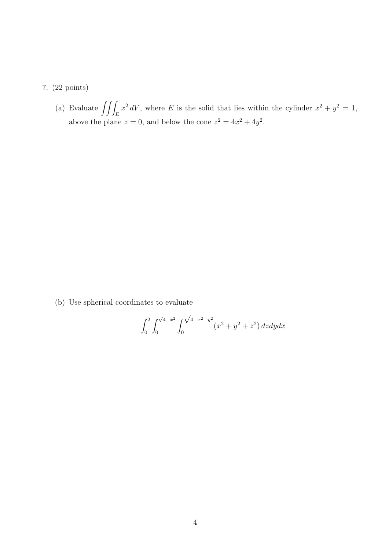## 7. (22 points)

(a) Evaluate  $\iiint_E x^2 dV$ , where E is the solid that lies within the cylinder  $x^2 + y^2 = 1$ , above the plane  $z = 0$ , and below the cone  $z^2 = 4x^2 + 4y^2$ .

(b) Use spherical coordinates to evaluate

$$
\int_0^2 \int_0^{\sqrt{4-x^2}} \int_0^{\sqrt{4-x^2-y^2}} (x^2 + y^2 + z^2) \, dz dy dx
$$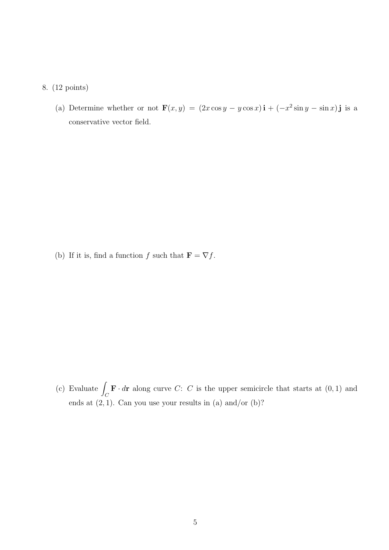## 8. (12 points)

(a) Determine whether or not  $\mathbf{F}(x,y) = (2x \cos y - y \cos x)\mathbf{i} + (-x^2 \sin y - \sin x)\mathbf{j}$  is a conservative vector field.

(b) If it is, find a function  $f$  such that  $\mathbf{F} = \nabla f$ .

(c) Evaluate  $\int_C \mathbf{F} \cdot d\mathbf{r}$  along curve C: C is the upper semicircle that starts at  $(0, 1)$  and ends at  $(2, 1)$ . Can you use your results in  $(a)$  and/or  $(b)$ ?